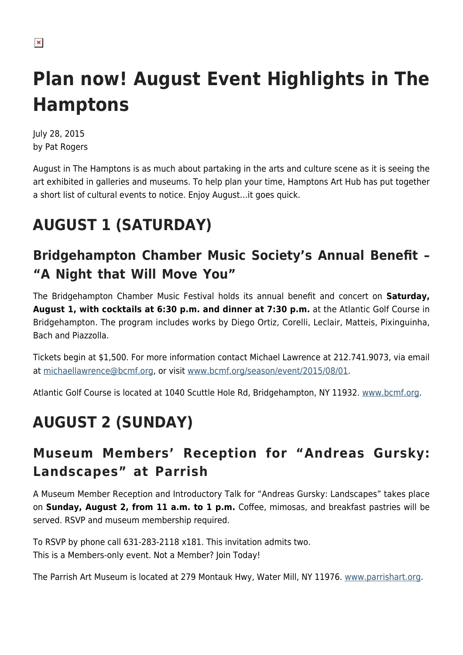# **Plan now! August Event Highlights in The Hamptons**

July 28, 2015 by Pat Rogers

August in The Hamptons is as much about partaking in the arts and culture scene as it is seeing the art exhibited in galleries and museums. To help plan your time, Hamptons Art Hub has put together a short list of cultural events to notice. Enjoy August…it goes quick.

## **AUGUST 1 (SATURDAY)**

#### **Bridgehampton Chamber Music Society's Annual Benefit – "A Night that Will Move You"**

The Bridgehampton Chamber Music Festival holds its annual benefit and concert on **Saturday, August 1, with cocktails at 6:30 p.m. and dinner at 7:30 p.m.** at the Atlantic Golf Course in Bridgehampton. The program includes works by Diego Ortiz, Corelli, Leclair, Matteis, Pixinguinha, Bach and Piazzolla.

Tickets begin at \$1,500. For more information contact Michael Lawrence at 212.741.9073, via email at [michaellawrence@bcmf.org](mailto:michaellawrence@bcmf.org), or visit [www.bcmf.org/season/event/2015/08/01.](http://www.bcmf.org/season/event/2015/08/01)

Atlantic Golf Course is located at 1040 Scuttle Hole Rd, Bridgehampton, NY 11932. [www.bcmf.org](http://www.bcmf.org).

### **AUGUST 2 (SUNDAY)**

#### **Museum Members' Reception for "Andreas Gursky: Landscapes" at Parrish**

A Museum Member Reception and Introductory Talk for "Andreas Gursky: Landscapes" takes place on **Sunday, August 2, from 11 a.m. to 1 p.m.** Coffee, mimosas, and breakfast pastries will be served. RSVP and museum membership required.

To RSVP by phone call 631-283-2118 x181. This invitation admits two. This is a Members-only event. Not a Member? Join Today!

The Parrish Art Museum is located at 279 Montauk Hwy, Water Mill, NY 11976. [www.parrishart.org](http://www.parrishart.org).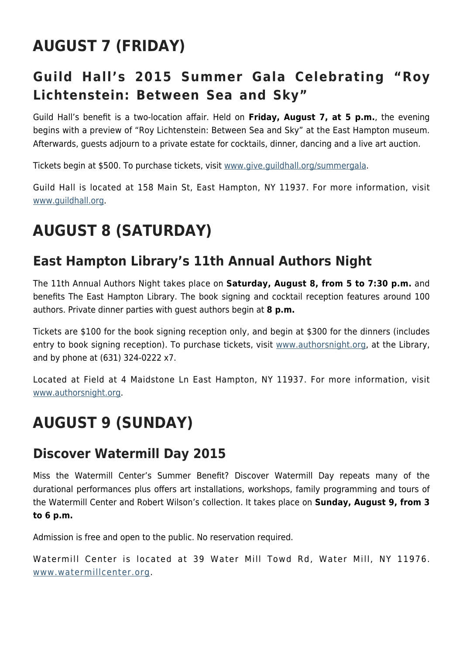### **AUGUST 7 (FRIDAY)**

### **Guild Hall's 2015 Summer Gala Celebrating "Roy Lichtenstein: Between Sea and Sky"**

Guild Hall's benefit is a two-location affair. Held on **Friday, August 7, at 5 p.m.**, the evening begins with a preview of "Roy Lichtenstein: Between Sea and Sky" at the East Hampton museum. Afterwards, guests adjourn to a private estate for cocktails, dinner, dancing and a live art auction.

Tickets begin at \$500. To purchase tickets, visit [www.give.guildhall.org/summergala](http://give.guildhall.org/summergala).

Guild Hall is located at 158 Main St, East Hampton, NY 11937. For more information, visit [www.guildhall.org.](http://www.guildhall.org)

### **AUGUST 8 (SATURDAY)**

#### **East Hampton Library's 11th Annual Authors Night**

The 11th Annual Authors Night takes place on **Saturday, August 8, from 5 to 7:30 p.m.** and benefits The East Hampton Library. The book signing and cocktail reception features around 100 authors. Private dinner parties with guest authors begin at **8 p.m.**

Tickets are \$100 for the book signing reception only, and begin at \$300 for the dinners (includes entry to book signing reception). To purchase tickets, visit [www.authorsnight.org,](http://www.authorsnight.org) at the Library, and by phone at (631) 324-0222 x7.

Located at Field at 4 Maidstone Ln East Hampton, NY 11937. For more information, visit [www.authorsnight.org](http://www.authorsnight.org).

### **AUGUST 9 (SUNDAY)**

#### **Discover Watermill Day 2015**

Miss the Watermill Center's Summer Benefit? Discover Watermill Day repeats many of the durational performances plus offers art installations, workshops, family programming and tours of the Watermill Center and Robert Wilson's collection. It takes place on **Sunday, August 9, from 3 to 6 p.m.**

Admission is free and open to the public. No reservation required.

Watermill Center is located at 39 Water Mill Towd Rd, Water Mill, NY 11976. [www.watermillcenter.org](http://www.watermillcenter.org).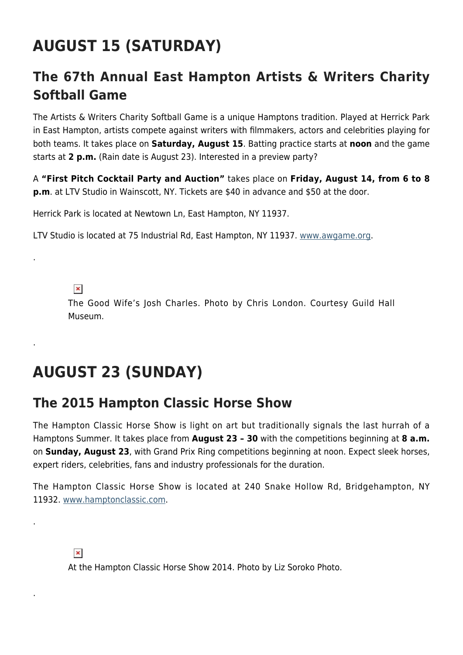### **AUGUST 15 (SATURDAY)**

#### **The 67th Annual East Hampton Artists & Writers Charity Softball Game**

The Artists & Writers Charity Softball Game is a unique Hamptons tradition. Played at Herrick Park in East Hampton, artists compete against writers with filmmakers, actors and celebrities playing for both teams. It takes place on **Saturday, August 15**. Batting practice starts at **noon** and the game starts at **2 p.m.** (Rain date is August 23). Interested in a preview party?

A **"First Pitch Cocktail Party and Auction"** takes place on **Friday, August 14, from 6 to 8 p.m**. at LTV Studio in Wainscott, NY. Tickets are \$40 in advance and \$50 at the door.

Herrick Park is located at Newtown Ln, East Hampton, NY 11937.

LTV Studio is located at 75 Industrial Rd, East Hampton, NY 11937. [www.awgame.org.](http://www.awgame.org)

 $\pmb{\times}$ 

.

.

.

.

The Good Wife's Josh Charles. Photo by Chris London. Courtesy Guild Hall Museum.

### **AUGUST 23 (SUNDAY)**

#### **The 2015 Hampton Classic Horse Show**

The Hampton Classic Horse Show is light on art but traditionally signals the last hurrah of a Hamptons Summer. It takes place from **August 23 – 30** with the competitions beginning at **8 a.m.** on **Sunday, August 23**, with Grand Prix Ring competitions beginning at noon. Expect sleek horses, expert riders, celebrities, fans and industry professionals for the duration.

The Hampton Classic Horse Show is located at 240 Snake Hollow Rd, Bridgehampton, NY 11932. [www.hamptonclassic.com.](http://www.hamptonclassic.com)

#### $\pmb{\times}$

At the Hampton Classic Horse Show 2014. Photo by Liz Soroko Photo.